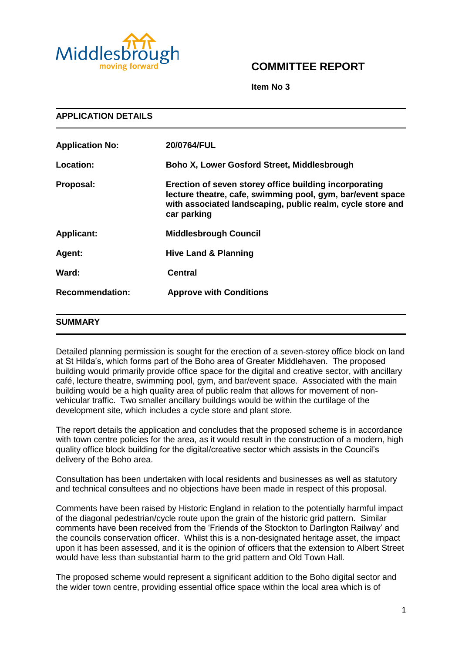

# **COMMITTEE REPORT**

**Item No 3**

| <b>APPLICATION DETAILS</b> |                                                                                                                                                                                                   |  |
|----------------------------|---------------------------------------------------------------------------------------------------------------------------------------------------------------------------------------------------|--|
| <b>Application No:</b>     | 20/0764/FUL                                                                                                                                                                                       |  |
| Location:                  | <b>Boho X, Lower Gosford Street, Middlesbrough</b>                                                                                                                                                |  |
| Proposal:                  | Erection of seven storey office building incorporating<br>lecture theatre, cafe, swimming pool, gym, bar/event space<br>with associated landscaping, public realm, cycle store and<br>car parking |  |
| <b>Applicant:</b>          | <b>Middlesbrough Council</b>                                                                                                                                                                      |  |
| Agent:                     | <b>Hive Land &amp; Planning</b>                                                                                                                                                                   |  |
| Ward:                      | <b>Central</b>                                                                                                                                                                                    |  |
| <b>Recommendation:</b>     | <b>Approve with Conditions</b>                                                                                                                                                                    |  |
| <b>SUMMARY</b>             |                                                                                                                                                                                                   |  |

Detailed planning permission is sought for the erection of a seven-storey office block on land at St Hilda's, which forms part of the Boho area of Greater Middlehaven. The proposed building would primarily provide office space for the digital and creative sector, with ancillary café, lecture theatre, swimming pool, gym, and bar/event space. Associated with the main building would be a high quality area of public realm that allows for movement of nonvehicular traffic. Two smaller ancillary buildings would be within the curtilage of the development site, which includes a cycle store and plant store.

The report details the application and concludes that the proposed scheme is in accordance with town centre policies for the area, as it would result in the construction of a modern, high quality office block building for the digital/creative sector which assists in the Council's delivery of the Boho area.

Consultation has been undertaken with local residents and businesses as well as statutory and technical consultees and no objections have been made in respect of this proposal.

Comments have been raised by Historic England in relation to the potentially harmful impact of the diagonal pedestrian/cycle route upon the grain of the historic grid pattern. Similar comments have been received from the 'Friends of the Stockton to Darlington Railway' and the councils conservation officer. Whilst this is a non-designated heritage asset, the impact upon it has been assessed, and it is the opinion of officers that the extension to Albert Street would have less than substantial harm to the grid pattern and Old Town Hall.

The proposed scheme would represent a significant addition to the Boho digital sector and the wider town centre, providing essential office space within the local area which is of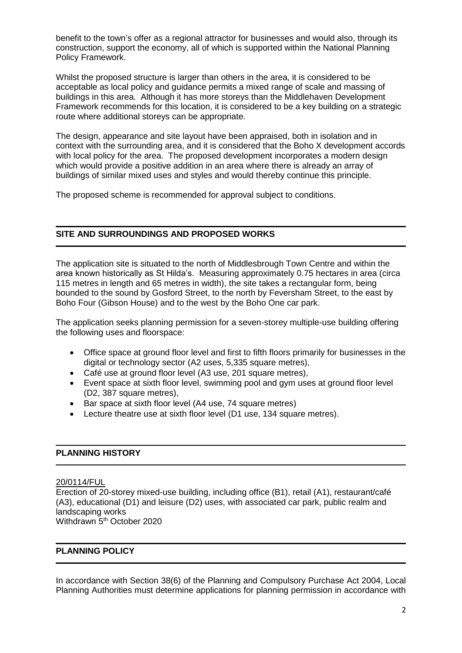benefit to the town's offer as a regional attractor for businesses and would also, through its construction, support the economy, all of which is supported within the National Planning Policy Framework.

Whilst the proposed structure is larger than others in the area, it is considered to be acceptable as local policy and guidance permits a mixed range of scale and massing of buildings in this area. Although it has more storeys than the Middlehaven Development Framework recommends for this location, it is considered to be a key building on a strategic route where additional storeys can be appropriate.

The design, appearance and site layout have been appraised, both in isolation and in context with the surrounding area, and it is considered that the Boho X development accords with local policy for the area. The proposed development incorporates a modern design which would provide a positive addition in an area where there is already an array of buildings of similar mixed uses and styles and would thereby continue this principle.

The proposed scheme is recommended for approval subject to conditions.

# **SITE AND SURROUNDINGS AND PROPOSED WORKS**

The application site is situated to the north of Middlesbrough Town Centre and within the area known historically as St Hilda's. Measuring approximately 0.75 hectares in area (circa 115 metres in length and 65 metres in width), the site takes a rectangular form, being bounded to the sound by Gosford Street, to the north by Feversham Street, to the east by Boho Four (Gibson House) and to the west by the Boho One car park.

The application seeks planning permission for a seven-storey multiple-use building offering the following uses and floorspace:

- Office space at ground floor level and first to fifth floors primarily for businesses in the digital or technology sector (A2 uses, 5,335 square metres),
- Café use at ground floor level (A3 use, 201 square metres),
- Event space at sixth floor level, swimming pool and gym uses at ground floor level (D2, 387 square metres),
- Bar space at sixth floor level (A4 use, 74 square metres)
- Lecture theatre use at sixth floor level (D1 use, 134 square metres).

## **PLANNING HISTORY**

# 20/0114/FUL

Erection of 20-storey mixed-use building, including office (B1), retail (A1), restaurant/café (A3), educational (D1) and leisure (D2) uses, with associated car park, public realm and landscaping works Withdrawn 5<sup>th</sup> October 2020

## **PLANNING POLICY**

In accordance with Section 38(6) of the Planning and Compulsory Purchase Act 2004, Local Planning Authorities must determine applications for planning permission in accordance with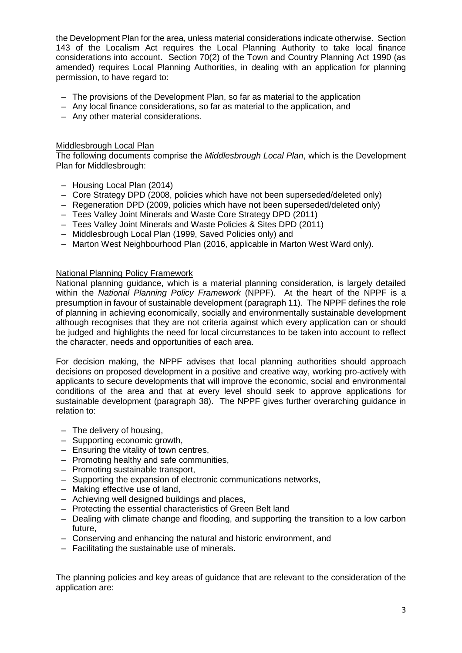the Development Plan for the area, unless material considerations indicate otherwise. Section 143 of the Localism Act requires the Local Planning Authority to take local finance considerations into account. Section 70(2) of the Town and Country Planning Act 1990 (as amended) requires Local Planning Authorities, in dealing with an application for planning permission, to have regard to:

- The provisions of the Development Plan, so far as material to the application
- Any local finance considerations, so far as material to the application, and
- Any other material considerations.

#### Middlesbrough Local Plan

The following documents comprise the *Middlesbrough Local Plan*, which is the Development Plan for Middlesbrough:

- Housing Local Plan (2014)
- Core Strategy DPD (2008, policies which have not been superseded/deleted only)
- Regeneration DPD (2009, policies which have not been superseded/deleted only)
- Tees Valley Joint Minerals and Waste Core Strategy DPD (2011)
- Tees Valley Joint Minerals and Waste Policies & Sites DPD (2011)
- Middlesbrough Local Plan (1999, Saved Policies only) and
- Marton West Neighbourhood Plan (2016, applicable in Marton West Ward only).

#### National Planning Policy Framework

National planning guidance, which is a material planning consideration, is largely detailed within the *National Planning Policy Framework* (NPPF). At the heart of the NPPF is a presumption in favour of sustainable development (paragraph 11). The NPPF defines the role of planning in achieving economically, socially and environmentally sustainable development although recognises that they are not criteria against which every application can or should be judged and highlights the need for local circumstances to be taken into account to reflect the character, needs and opportunities of each area.

For decision making, the NPPF advises that local planning authorities should approach decisions on proposed development in a positive and creative way, working pro-actively with applicants to secure developments that will improve the economic, social and environmental conditions of the area and that at every level should seek to approve applications for sustainable development (paragraph 38). The NPPF gives further overarching guidance in relation to:

- The delivery of housing,
- Supporting economic growth,
- Ensuring the vitality of town centres,
- Promoting healthy and safe communities,
- Promoting sustainable transport,
- Supporting the expansion of electronic communications networks,
- Making effective use of land,
- Achieving well designed buildings and places,
- Protecting the essential characteristics of Green Belt land
- Dealing with climate change and flooding, and supporting the transition to a low carbon future,
- Conserving and enhancing the natural and historic environment, and
- Facilitating the sustainable use of minerals.

The planning policies and key areas of guidance that are relevant to the consideration of the application are: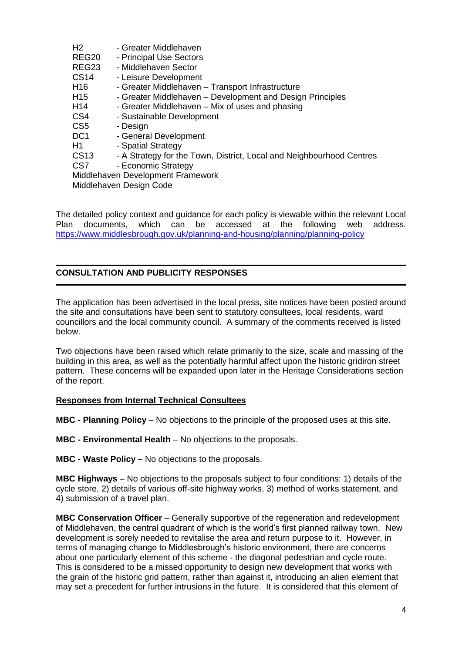| H <sub>2</sub>          | - Greater Middlehaven                                                |  |
|-------------------------|----------------------------------------------------------------------|--|
| REG <sub>20</sub>       | - Principal Use Sectors                                              |  |
| REG23                   | - Middlehaven Sector                                                 |  |
| <b>CS14</b>             | - Leisure Development                                                |  |
| H <sub>16</sub>         | - Greater Middlehaven - Transport Infrastructure                     |  |
| H <sub>15</sub>         | - Greater Middlehaven – Development and Design Principles            |  |
| H <sub>14</sub>         | - Greater Middlehaven - Mix of uses and phasing                      |  |
| CS <sub>4</sub>         | - Sustainable Development                                            |  |
| CS <sub>5</sub>         | - Design                                                             |  |
| DC <sub>1</sub>         | - General Development                                                |  |
| H1                      | - Spatial Strategy                                                   |  |
| <b>CS13</b>             | - A Strategy for the Town, District, Local and Neighbourhood Centres |  |
| CS <sub>7</sub>         | - Economic Strategy                                                  |  |
|                         | Middlehaven Development Framework                                    |  |
| Middlehaven Design Code |                                                                      |  |
|                         |                                                                      |  |

The detailed policy context and guidance for each policy is viewable within the relevant Local Plan documents, which can be accessed at the following web address. <https://www.middlesbrough.gov.uk/planning-and-housing/planning/planning-policy>

# **CONSULTATION AND PUBLICITY RESPONSES**

The application has been advertised in the local press, site notices have been posted around the site and consultations have been sent to statutory consultees, local residents, ward councillors and the local community council. A summary of the comments received is listed below.

Two objections have been raised which relate primarily to the size, scale and massing of the building in this area, as well as the potentially harmful affect upon the historic gridiron street pattern. These concerns will be expanded upon later in the Heritage Considerations section of the report.

## **Responses from Internal Technical Consultees**

**MBC - Planning Policy** – No objections to the principle of the proposed uses at this site.

**MBC - Environmental Health** – No objections to the proposals.

**MBC - Waste Policy** – No objections to the proposals.

**MBC Highways** – No objections to the proposals subject to four conditions: 1) details of the cycle store, 2) details of various off-site highway works, 3) method of works statement, and 4) submission of a travel plan.

**MBC Conservation Officer** – Generally supportive of the regeneration and redevelopment of Middlehaven, the central quadrant of which is the world's first planned railway town. New development is sorely needed to revitalise the area and return purpose to it. However, in terms of managing change to Middlesbrough's historic environment, there are concerns about one particularly element of this scheme - the diagonal pedestrian and cycle route. This is considered to be a missed opportunity to design new development that works with the grain of the historic grid pattern, rather than against it, introducing an alien element that may set a precedent for further intrusions in the future. It is considered that this element of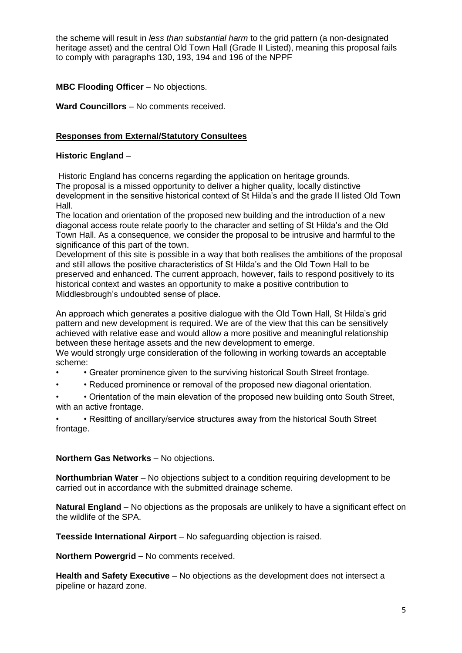the scheme will result in *less than substantial harm* to the grid pattern (a non-designated heritage asset) and the central Old Town Hall (Grade II Listed), meaning this proposal fails to comply with paragraphs 130, 193, 194 and 196 of the NPPF

# **MBC Flooding Officer** – No objections.

**Ward Councillors** – No comments received.

## **Responses from External/Statutory Consultees**

## **Historic England** –

Historic England has concerns regarding the application on heritage grounds. The proposal is a missed opportunity to deliver a higher quality, locally distinctive development in the sensitive historical context of St Hilda's and the grade II listed Old Town Hall.

The location and orientation of the proposed new building and the introduction of a new diagonal access route relate poorly to the character and setting of St Hilda's and the Old Town Hall. As a consequence, we consider the proposal to be intrusive and harmful to the significance of this part of the town.

Development of this site is possible in a way that both realises the ambitions of the proposal and still allows the positive characteristics of St Hilda's and the Old Town Hall to be preserved and enhanced. The current approach, however, fails to respond positively to its historical context and wastes an opportunity to make a positive contribution to Middlesbrough's undoubted sense of place.

An approach which generates a positive dialogue with the Old Town Hall, St Hilda's grid pattern and new development is required. We are of the view that this can be sensitively achieved with relative ease and would allow a more positive and meaningful relationship between these heritage assets and the new development to emerge.

We would strongly urge consideration of the following in working towards an acceptable scheme:

- • Greater prominence given to the surviving historical South Street frontage.
- • Reduced prominence or removal of the proposed new diagonal orientation.

• • Orientation of the main elevation of the proposed new building onto South Street, with an active frontage.

• • Resitting of ancillary/service structures away from the historical South Street frontage.

## **Northern Gas Networks** – No objections.

**Northumbrian Water** – No objections subject to a condition requiring development to be carried out in accordance with the submitted drainage scheme.

**Natural England** – No objections as the proposals are unlikely to have a significant effect on the wildlife of the SPA.

**Teesside International Airport** – No safeguarding objection is raised.

**Northern Powergrid –** No comments received.

**Health and Safety Executive** – No objections as the development does not intersect a pipeline or hazard zone.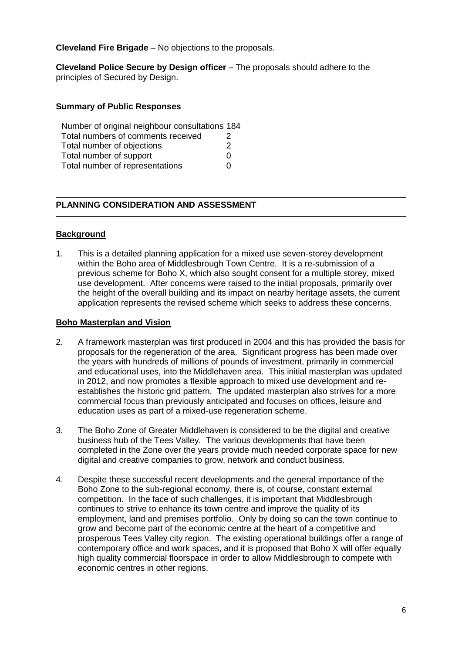**Cleveland Fire Brigade** – No objections to the proposals.

**Cleveland Police Secure by Design officer** – The proposals should adhere to the principles of Secured by Design.

#### **Summary of Public Responses**

| Number of original neighbour consultations 184 |               |
|------------------------------------------------|---------------|
| Total numbers of comments received             | $\mathcal{P}$ |
| Total number of objections                     | 2             |
| Total number of support                        | U             |
| Total number of representations                | O             |

# **PLANNING CONSIDERATION AND ASSESSMENT**

## **Background**

1. This is a detailed planning application for a mixed use seven-storey development within the Boho area of Middlesbrough Town Centre. It is a re-submission of a previous scheme for Boho X, which also sought consent for a multiple storey, mixed use development. After concerns were raised to the initial proposals, primarily over the height of the overall building and its impact on nearby heritage assets, the current application represents the revised scheme which seeks to address these concerns.

#### **Boho Masterplan and Vision**

- 2. A framework masterplan was first produced in 2004 and this has provided the basis for proposals for the regeneration of the area. Significant progress has been made over the years with hundreds of millions of pounds of investment, primarily in commercial and educational uses, into the Middlehaven area. This initial masterplan was updated in 2012, and now promotes a flexible approach to mixed use development and reestablishes the historic grid pattern. The updated masterplan also strives for a more commercial focus than previously anticipated and focuses on offices, leisure and education uses as part of a mixed-use regeneration scheme.
- 3. The Boho Zone of Greater Middlehaven is considered to be the digital and creative business hub of the Tees Valley. The various developments that have been completed in the Zone over the years provide much needed corporate space for new digital and creative companies to grow, network and conduct business.
- 4. Despite these successful recent developments and the general importance of the Boho Zone to the sub-regional economy, there is, of course, constant external competition. In the face of such challenges, it is important that Middlesbrough continues to strive to enhance its town centre and improve the quality of its employment, land and premises portfolio. Only by doing so can the town continue to grow and become part of the economic centre at the heart of a competitive and prosperous Tees Valley city region. The existing operational buildings offer a range of contemporary office and work spaces, and it is proposed that Boho  $\check{X}$  will offer equally high quality commercial floorspace in order to allow Middlesbrough to compete with economic centres in other regions.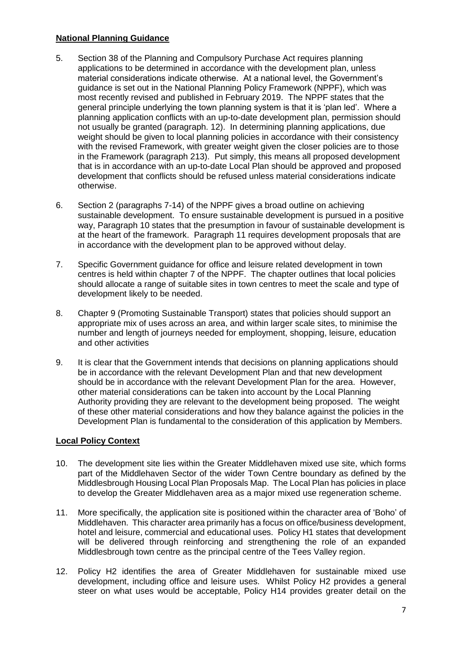# **National Planning Guidance**

- 5. Section 38 of the Planning and Compulsory Purchase Act requires planning applications to be determined in accordance with the development plan, unless material considerations indicate otherwise. At a national level, the Government's guidance is set out in the National Planning Policy Framework (NPPF), which was most recently revised and published in February 2019. The NPPF states that the general principle underlying the town planning system is that it is 'plan led'. Where a planning application conflicts with an up-to-date development plan, permission should not usually be granted (paragraph. 12). In determining planning applications, due weight should be given to local planning policies in accordance with their consistency with the revised Framework, with greater weight given the closer policies are to those in the Framework (paragraph 213). Put simply, this means all proposed development that is in accordance with an up-to-date Local Plan should be approved and proposed development that conflicts should be refused unless material considerations indicate otherwise.
- 6. Section 2 (paragraphs 7-14) of the NPPF gives a broad outline on achieving sustainable development. To ensure sustainable development is pursued in a positive way, Paragraph 10 states that the presumption in favour of sustainable development is at the heart of the framework. Paragraph 11 requires development proposals that are in accordance with the development plan to be approved without delay.
- 7. Specific Government guidance for office and leisure related development in town centres is held within chapter 7 of the NPPF. The chapter outlines that local policies should allocate a range of suitable sites in town centres to meet the scale and type of development likely to be needed.
- 8. Chapter 9 (Promoting Sustainable Transport) states that policies should support an appropriate mix of uses across an area, and within larger scale sites, to minimise the number and length of journeys needed for employment, shopping, leisure, education and other activities
- 9. It is clear that the Government intends that decisions on planning applications should be in accordance with the relevant Development Plan and that new development should be in accordance with the relevant Development Plan for the area. However, other material considerations can be taken into account by the Local Planning Authority providing they are relevant to the development being proposed. The weight of these other material considerations and how they balance against the policies in the Development Plan is fundamental to the consideration of this application by Members.

# **Local Policy Context**

- 10. The development site lies within the Greater Middlehaven mixed use site, which forms part of the Middlehaven Sector of the wider Town Centre boundary as defined by the Middlesbrough Housing Local Plan Proposals Map. The Local Plan has policies in place to develop the Greater Middlehaven area as a major mixed use regeneration scheme.
- 11. More specifically, the application site is positioned within the character area of 'Boho' of Middlehaven. This character area primarily has a focus on office/business development, hotel and leisure, commercial and educational uses. Policy H1 states that development will be delivered through reinforcing and strengthening the role of an expanded Middlesbrough town centre as the principal centre of the Tees Valley region.
- 12. Policy H2 identifies the area of Greater Middlehaven for sustainable mixed use development, including office and leisure uses. Whilst Policy H2 provides a general steer on what uses would be acceptable, Policy H14 provides greater detail on the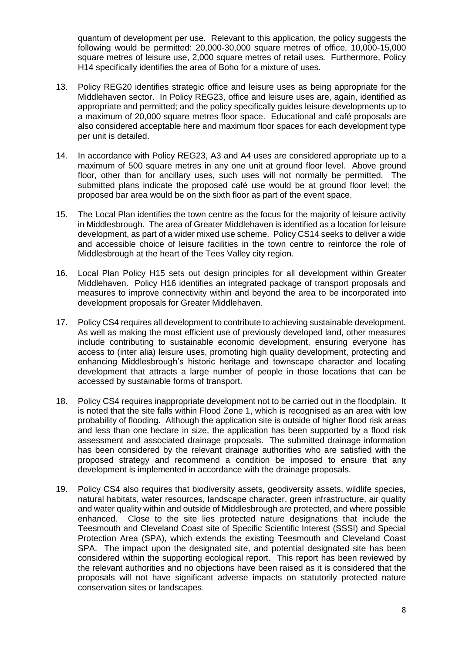quantum of development per use. Relevant to this application, the policy suggests the following would be permitted: 20,000-30,000 square metres of office, 10,000-15,000 square metres of leisure use, 2,000 square metres of retail uses. Furthermore, Policy H14 specifically identifies the area of Boho for a mixture of uses.

- 13. Policy REG20 identifies strategic office and leisure uses as being appropriate for the Middlehaven sector. In Policy REG23, office and leisure uses are, again, identified as appropriate and permitted; and the policy specifically guides leisure developments up to a maximum of 20,000 square metres floor space. Educational and café proposals are also considered acceptable here and maximum floor spaces for each development type per unit is detailed.
- 14. In accordance with Policy REG23, A3 and A4 uses are considered appropriate up to a maximum of 500 square metres in any one unit at ground floor level. Above ground floor, other than for ancillary uses, such uses will not normally be permitted. The submitted plans indicate the proposed café use would be at ground floor level; the proposed bar area would be on the sixth floor as part of the event space.
- 15. The Local Plan identifies the town centre as the focus for the majority of leisure activity in Middlesbrough. The area of Greater Middlehaven is identified as a location for leisure development, as part of a wider mixed use scheme. Policy CS14 seeks to deliver a wide and accessible choice of leisure facilities in the town centre to reinforce the role of Middlesbrough at the heart of the Tees Valley city region.
- 16. Local Plan Policy H15 sets out design principles for all development within Greater Middlehaven. Policy H16 identifies an integrated package of transport proposals and measures to improve connectivity within and beyond the area to be incorporated into development proposals for Greater Middlehaven.
- 17. Policy CS4 requires all development to contribute to achieving sustainable development. As well as making the most efficient use of previously developed land, other measures include contributing to sustainable economic development, ensuring everyone has access to (inter alia) leisure uses, promoting high quality development, protecting and enhancing Middlesbrough's historic heritage and townscape character and locating development that attracts a large number of people in those locations that can be accessed by sustainable forms of transport.
- 18. Policy CS4 requires inappropriate development not to be carried out in the floodplain. It is noted that the site falls within Flood Zone 1, which is recognised as an area with low probability of flooding. Although the application site is outside of higher flood risk areas and less than one hectare in size, the application has been supported by a flood risk assessment and associated drainage proposals. The submitted drainage information has been considered by the relevant drainage authorities who are satisfied with the proposed strategy and recommend a condition be imposed to ensure that any development is implemented in accordance with the drainage proposals.
- 19. Policy CS4 also requires that biodiversity assets, geodiversity assets, wildlife species, natural habitats, water resources, landscape character, green infrastructure, air quality and water quality within and outside of Middlesbrough are protected, and where possible enhanced. Close to the site lies protected nature designations that include the Teesmouth and Cleveland Coast site of Specific Scientific Interest (SSSI) and Special Protection Area (SPA), which extends the existing Teesmouth and Cleveland Coast SPA. The impact upon the designated site, and potential designated site has been considered within the supporting ecological report. This report has been reviewed by the relevant authorities and no objections have been raised as it is considered that the proposals will not have significant adverse impacts on statutorily protected nature conservation sites or landscapes.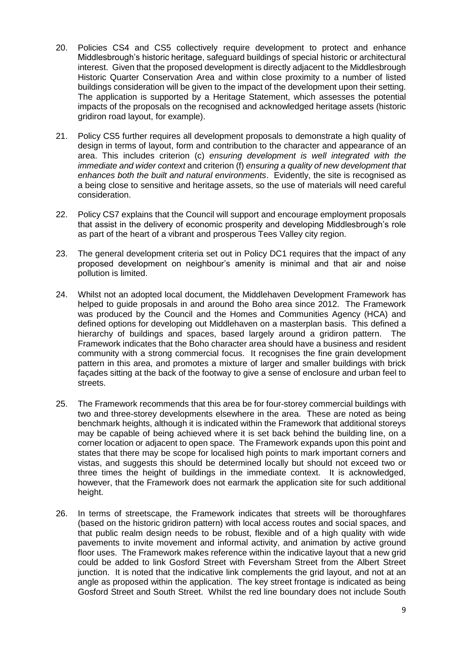- 20. Policies CS4 and CS5 collectively require development to protect and enhance Middlesbrough's historic heritage, safeguard buildings of special historic or architectural interest. Given that the proposed development is directly adjacent to the Middlesbrough Historic Quarter Conservation Area and within close proximity to a number of listed buildings consideration will be given to the impact of the development upon their setting. The application is supported by a Heritage Statement, which assesses the potential impacts of the proposals on the recognised and acknowledged heritage assets (historic gridiron road layout, for example).
- 21. Policy CS5 further requires all development proposals to demonstrate a high quality of design in terms of layout, form and contribution to the character and appearance of an area. This includes criterion (c) *ensuring development is well integrated with the immediate and wider context* and criterion (f) *ensuring a quality of new development that enhances both the built and natural environments*. Evidently, the site is recognised as a being close to sensitive and heritage assets, so the use of materials will need careful consideration.
- 22. Policy CS7 explains that the Council will support and encourage employment proposals that assist in the delivery of economic prosperity and developing Middlesbrough's role as part of the heart of a vibrant and prosperous Tees Valley city region.
- 23. The general development criteria set out in Policy DC1 requires that the impact of any proposed development on neighbour's amenity is minimal and that air and noise pollution is limited.
- 24. Whilst not an adopted local document, the Middlehaven Development Framework has helped to guide proposals in and around the Boho area since 2012. The Framework was produced by the Council and the Homes and Communities Agency (HCA) and defined options for developing out Middlehaven on a masterplan basis. This defined a hierarchy of buildings and spaces, based largely around a gridiron pattern. The Framework indicates that the Boho character area should have a business and resident community with a strong commercial focus. It recognises the fine grain development pattern in this area, and promotes a mixture of larger and smaller buildings with brick façades sitting at the back of the footway to give a sense of enclosure and urban feel to streets.
- 25. The Framework recommends that this area be for four-storey commercial buildings with two and three-storey developments elsewhere in the area. These are noted as being benchmark heights, although it is indicated within the Framework that additional storeys may be capable of being achieved where it is set back behind the building line, on a corner location or adjacent to open space. The Framework expands upon this point and states that there may be scope for localised high points to mark important corners and vistas, and suggests this should be determined locally but should not exceed two or three times the height of buildings in the immediate context. It is acknowledged, however, that the Framework does not earmark the application site for such additional height.
- 26. In terms of streetscape, the Framework indicates that streets will be thoroughfares (based on the historic gridiron pattern) with local access routes and social spaces, and that public realm design needs to be robust, flexible and of a high quality with wide pavements to invite movement and informal activity, and animation by active ground floor uses. The Framework makes reference within the indicative layout that a new grid could be added to link Gosford Street with Feversham Street from the Albert Street junction. It is noted that the indicative link complements the grid layout, and not at an angle as proposed within the application. The key street frontage is indicated as being Gosford Street and South Street. Whilst the red line boundary does not include South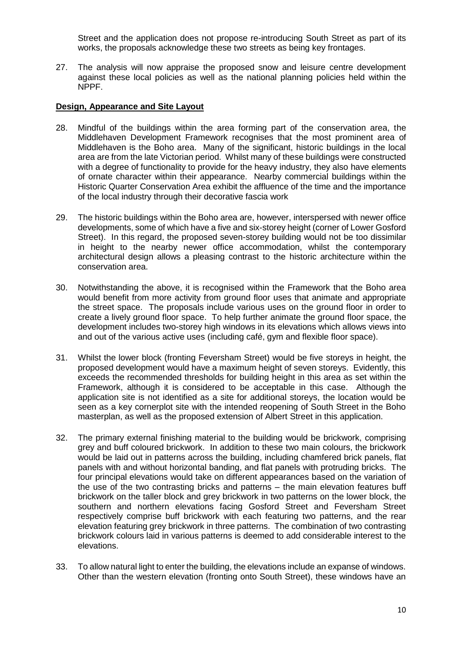Street and the application does not propose re-introducing South Street as part of its works, the proposals acknowledge these two streets as being key frontages.

27. The analysis will now appraise the proposed snow and leisure centre development against these local policies as well as the national planning policies held within the NPPF.

#### **Design, Appearance and Site Layout**

- 28. Mindful of the buildings within the area forming part of the conservation area, the Middlehaven Development Framework recognises that the most prominent area of Middlehaven is the Boho area. Many of the significant, historic buildings in the local area are from the late Victorian period. Whilst many of these buildings were constructed with a degree of functionality to provide for the heavy industry, they also have elements of ornate character within their appearance. Nearby commercial buildings within the Historic Quarter Conservation Area exhibit the affluence of the time and the importance of the local industry through their decorative fascia work
- 29. The historic buildings within the Boho area are, however, interspersed with newer office developments, some of which have a five and six-storey height (corner of Lower Gosford Street). In this regard, the proposed seven-storey building would not be too dissimilar in height to the nearby newer office accommodation, whilst the contemporary architectural design allows a pleasing contrast to the historic architecture within the conservation area.
- 30. Notwithstanding the above, it is recognised within the Framework that the Boho area would benefit from more activity from ground floor uses that animate and appropriate the street space. The proposals include various uses on the ground floor in order to create a lively ground floor space. To help further animate the ground floor space, the development includes two-storey high windows in its elevations which allows views into and out of the various active uses (including café, gym and flexible floor space).
- 31. Whilst the lower block (fronting Feversham Street) would be five storeys in height, the proposed development would have a maximum height of seven storeys. Evidently, this exceeds the recommended thresholds for building height in this area as set within the Framework, although it is considered to be acceptable in this case. Although the application site is not identified as a site for additional storeys, the location would be seen as a key cornerplot site with the intended reopening of South Street in the Boho masterplan, as well as the proposed extension of Albert Street in this application.
- 32. The primary external finishing material to the building would be brickwork, comprising grey and buff coloured brickwork. In addition to these two main colours, the brickwork would be laid out in patterns across the building, including chamfered brick panels, flat panels with and without horizontal banding, and flat panels with protruding bricks. The four principal elevations would take on different appearances based on the variation of the use of the two contrasting bricks and patterns – the main elevation features buff brickwork on the taller block and grey brickwork in two patterns on the lower block, the southern and northern elevations facing Gosford Street and Feversham Street respectively comprise buff brickwork with each featuring two patterns, and the rear elevation featuring grey brickwork in three patterns. The combination of two contrasting brickwork colours laid in various patterns is deemed to add considerable interest to the elevations.
- 33. To allow natural light to enter the building, the elevations include an expanse of windows. Other than the western elevation (fronting onto South Street), these windows have an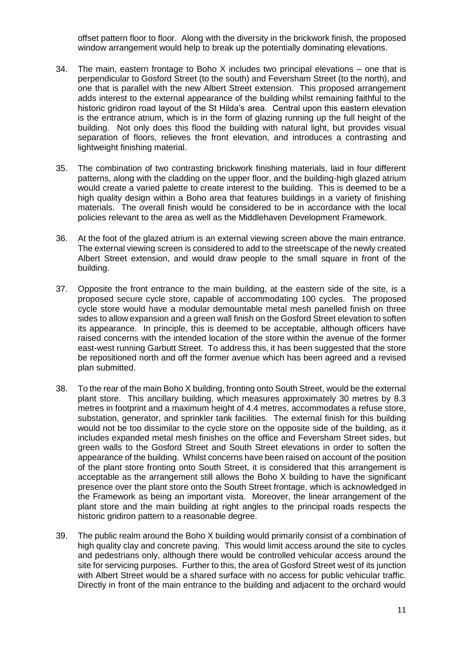offset pattern floor to floor. Along with the diversity in the brickwork finish, the proposed window arrangement would help to break up the potentially dominating elevations.

- 34. The main, eastern frontage to Boho X includes two principal elevations one that is perpendicular to Gosford Street (to the south) and Feversham Street (to the north), and one that is parallel with the new Albert Street extension. This proposed arrangement adds interest to the external appearance of the building whilst remaining faithful to the historic gridiron road layout of the St Hilda's area. Central upon this eastern elevation is the entrance atrium, which is in the form of glazing running up the full height of the building. Not only does this flood the building with natural light, but provides visual separation of floors, relieves the front elevation, and introduces a contrasting and lightweight finishing material.
- 35. The combination of two contrasting brickwork finishing materials, laid in four different patterns, along with the cladding on the upper floor, and the building-high glazed atrium would create a varied palette to create interest to the building. This is deemed to be a high quality design within a Boho area that features buildings in a variety of finishing materials. The overall finish would be considered to be in accordance with the local policies relevant to the area as well as the Middlehaven Development Framework.
- 36. At the foot of the glazed atrium is an external viewing screen above the main entrance. The external viewing screen is considered to add to the streetscape of the newly created Albert Street extension, and would draw people to the small square in front of the building.
- 37. Opposite the front entrance to the main building, at the eastern side of the site, is a proposed secure cycle store, capable of accommodating 100 cycles. The proposed cycle store would have a modular demountable metal mesh panelled finish on three sides to allow expansion and a green wall finish on the Gosford Street elevation to soften its appearance. In principle, this is deemed to be acceptable, although officers have raised concerns with the intended location of the store within the avenue of the former east-west running Garbutt Street. To address this, it has been suggested that the store be repositioned north and off the former avenue which has been agreed and a revised plan submitted.
- 38. To the rear of the main Boho X building, fronting onto South Street, would be the external plant store. This ancillary building, which measures approximately 30 metres by 8.3 metres in footprint and a maximum height of 4.4 metres, accommodates a refuse store, substation, generator, and sprinkler tank facilities. The external finish for this building would not be too dissimilar to the cycle store on the opposite side of the building, as it includes expanded metal mesh finishes on the office and Feversham Street sides, but green walls to the Gosford Street and South Street elevations in order to soften the appearance of the building. Whilst concerns have been raised on account of the position of the plant store fronting onto South Street, it is considered that this arrangement is acceptable as the arrangement still allows the Boho X building to have the significant presence over the plant store onto the South Street frontage, which is acknowledged in the Framework as being an important vista. Moreover, the linear arrangement of the plant store and the main building at right angles to the principal roads respects the historic gridiron pattern to a reasonable degree.
- 39. The public realm around the Boho X building would primarily consist of a combination of high quality clay and concrete paving. This would limit access around the site to cycles and pedestrians only, although there would be controlled vehicular access around the site for servicing purposes. Further to this, the area of Gosford Street west of its junction with Albert Street would be a shared surface with no access for public vehicular traffic. Directly in front of the main entrance to the building and adjacent to the orchard would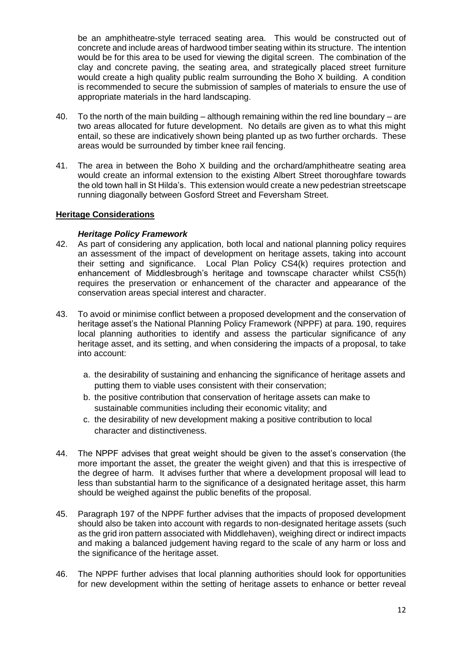be an amphitheatre-style terraced seating area. This would be constructed out of concrete and include areas of hardwood timber seating within its structure. The intention would be for this area to be used for viewing the digital screen. The combination of the clay and concrete paving, the seating area, and strategically placed street furniture would create a high quality public realm surrounding the Boho X building. A condition is recommended to secure the submission of samples of materials to ensure the use of appropriate materials in the hard landscaping.

- 40. To the north of the main building although remaining within the red line boundary are two areas allocated for future development. No details are given as to what this might entail, so these are indicatively shown being planted up as two further orchards. These areas would be surrounded by timber knee rail fencing.
- 41. The area in between the Boho X building and the orchard/amphitheatre seating area would create an informal extension to the existing Albert Street thoroughfare towards the old town hall in St Hilda's. This extension would create a new pedestrian streetscape running diagonally between Gosford Street and Feversham Street.

# **Heritage Considerations**

## *Heritage Policy Framework*

- 42. As part of considering any application, both local and national planning policy requires an assessment of the impact of development on heritage assets, taking into account their setting and significance. Local Plan Policy CS4(k) requires protection and enhancement of Middlesbrough's heritage and townscape character whilst CS5(h) requires the preservation or enhancement of the character and appearance of the conservation areas special interest and character.
- 43. To avoid or minimise conflict between a proposed development and the conservation of heritage asset's the National Planning Policy Framework (NPPF) at para. 190, requires local planning authorities to identify and assess the particular significance of any heritage asset, and its setting, and when considering the impacts of a proposal, to take into account:
	- a. the desirability of sustaining and enhancing the significance of heritage assets and putting them to viable uses consistent with their conservation;
	- b. the positive contribution that conservation of heritage assets can make to sustainable communities including their economic vitality; and
	- c. the desirability of new development making a positive contribution to local character and distinctiveness.
- 44. The NPPF advises that great weight should be given to the asset's conservation (the more important the asset, the greater the weight given) and that this is irrespective of the degree of harm. It advises further that where a development proposal will lead to less than substantial harm to the significance of a designated heritage asset, this harm should be weighed against the public benefits of the proposal.
- 45. Paragraph 197 of the NPPF further advises that the impacts of proposed development should also be taken into account with regards to non-designated heritage assets (such as the grid iron pattern associated with Middlehaven), weighing direct or indirect impacts and making a balanced judgement having regard to the scale of any harm or loss and the significance of the heritage asset.
- 46. The NPPF further advises that local planning authorities should look for opportunities for new development within the setting of heritage assets to enhance or better reveal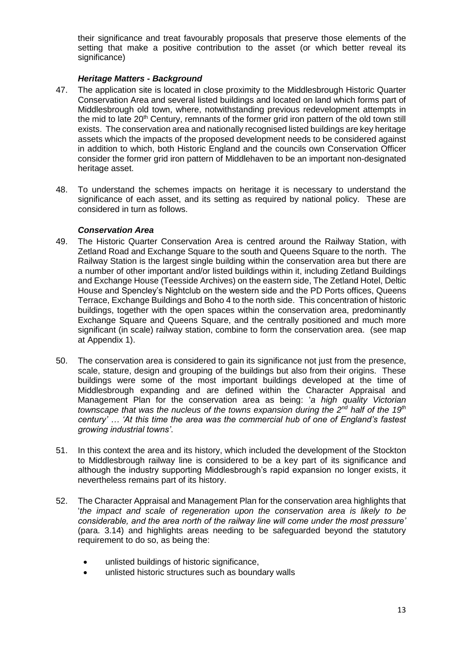their significance and treat favourably proposals that preserve those elements of the setting that make a positive contribution to the asset (or which better reveal its significance)

# *Heritage Matters - Background*

- 47. The application site is located in close proximity to the Middlesbrough Historic Quarter Conservation Area and several listed buildings and located on land which forms part of Middlesbrough old town, where, notwithstanding previous redevelopment attempts in the mid to late 20<sup>th</sup> Century, remnants of the former grid iron pattern of the old town still exists. The conservation area and nationally recognised listed buildings are key heritage assets which the impacts of the proposed development needs to be considered against in addition to which, both Historic England and the councils own Conservation Officer consider the former grid iron pattern of Middlehaven to be an important non-designated heritage asset.
- 48. To understand the schemes impacts on heritage it is necessary to understand the significance of each asset, and its setting as required by national policy. These are considered in turn as follows.

# *Conservation Area*

- 49. The Historic Quarter Conservation Area is centred around the Railway Station, with Zetland Road and Exchange Square to the south and Queens Square to the north. The Railway Station is the largest single building within the conservation area but there are a number of other important and/or listed buildings within it, including Zetland Buildings and Exchange House (Teesside Archives) on the eastern side, The Zetland Hotel, Deltic House and Spencley's Nightclub on the western side and the PD Ports offices, Queens Terrace, Exchange Buildings and Boho 4 to the north side. This concentration of historic buildings, together with the open spaces within the conservation area, predominantly Exchange Square and Queens Square, and the centrally positioned and much more significant (in scale) railway station, combine to form the conservation area. (see map at Appendix 1).
- 50. The conservation area is considered to gain its significance not just from the presence, scale, stature, design and grouping of the buildings but also from their origins. These buildings were some of the most important buildings developed at the time of Middlesbrough expanding and are defined within the Character Appraisal and Management Plan for the conservation area as being: '*a high quality Victorian townscape that was the nucleus of the towns expansion during the 2nd half of the 19th century' … 'At this time the area was the commercial hub of one of England's fastest growing industrial towns'*.
- 51. In this context the area and its history, which included the development of the Stockton to Middlesbrough railway line is considered to be a key part of its significance and although the industry supporting Middlesbrough's rapid expansion no longer exists, it nevertheless remains part of its history.
- 52. The Character Appraisal and Management Plan for the conservation area highlights that '*the impact and scale of regeneration upon the conservation area is likely to be considerable, and the area north of the railway line will come under the most pressure'* (para. 3.14) and highlights areas needing to be safeguarded beyond the statutory requirement to do so, as being the:
	- unlisted buildings of historic significance,
	- unlisted historic structures such as boundary walls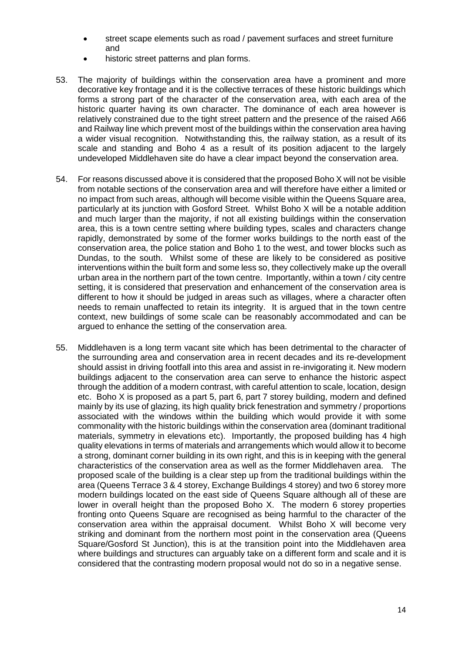- street scape elements such as road / pavement surfaces and street furniture and
- historic street patterns and plan forms.
- 53. The majority of buildings within the conservation area have a prominent and more decorative key frontage and it is the collective terraces of these historic buildings which forms a strong part of the character of the conservation area, with each area of the historic quarter having its own character. The dominance of each area however is relatively constrained due to the tight street pattern and the presence of the raised A66 and Railway line which prevent most of the buildings within the conservation area having a wider visual recognition. Notwithstanding this, the railway station, as a result of its scale and standing and Boho 4 as a result of its position adjacent to the largely undeveloped Middlehaven site do have a clear impact beyond the conservation area.
- 54. For reasons discussed above it is considered that the proposed Boho X will not be visible from notable sections of the conservation area and will therefore have either a limited or no impact from such areas, although will become visible within the Queens Square area, particularly at its junction with Gosford Street. Whilst Boho X will be a notable addition and much larger than the majority, if not all existing buildings within the conservation area, this is a town centre setting where building types, scales and characters change rapidly, demonstrated by some of the former works buildings to the north east of the conservation area, the police station and Boho 1 to the west, and tower blocks such as Dundas, to the south. Whilst some of these are likely to be considered as positive interventions within the built form and some less so, they collectively make up the overall urban area in the northern part of the town centre. Importantly, within a town / city centre setting, it is considered that preservation and enhancement of the conservation area is different to how it should be judged in areas such as villages, where a character often needs to remain unaffected to retain its integrity. It is argued that in the town centre context, new buildings of some scale can be reasonably accommodated and can be argued to enhance the setting of the conservation area.
- 55. Middlehaven is a long term vacant site which has been detrimental to the character of the surrounding area and conservation area in recent decades and its re-development should assist in driving footfall into this area and assist in re-invigorating it. New modern buildings adjacent to the conservation area can serve to enhance the historic aspect through the addition of a modern contrast, with careful attention to scale, location, design etc. Boho X is proposed as a part 5, part 6, part 7 storey building, modern and defined mainly by its use of glazing, its high quality brick fenestration and symmetry / proportions associated with the windows within the building which would provide it with some commonality with the historic buildings within the conservation area (dominant traditional materials, symmetry in elevations etc). Importantly, the proposed building has 4 high quality elevations in terms of materials and arrangements which would allow it to become a strong, dominant corner building in its own right, and this is in keeping with the general characteristics of the conservation area as well as the former Middlehaven area. The proposed scale of the building is a clear step up from the traditional buildings within the area (Queens Terrace 3 & 4 storey, Exchange Buildings 4 storey) and two 6 storey more modern buildings located on the east side of Queens Square although all of these are lower in overall height than the proposed Boho X. The modern 6 storey properties fronting onto Queens Square are recognised as being harmful to the character of the conservation area within the appraisal document. Whilst Boho X will become very striking and dominant from the northern most point in the conservation area (Queens Square/Gosford St Junction), this is at the transition point into the Middlehaven area where buildings and structures can arguably take on a different form and scale and it is considered that the contrasting modern proposal would not do so in a negative sense.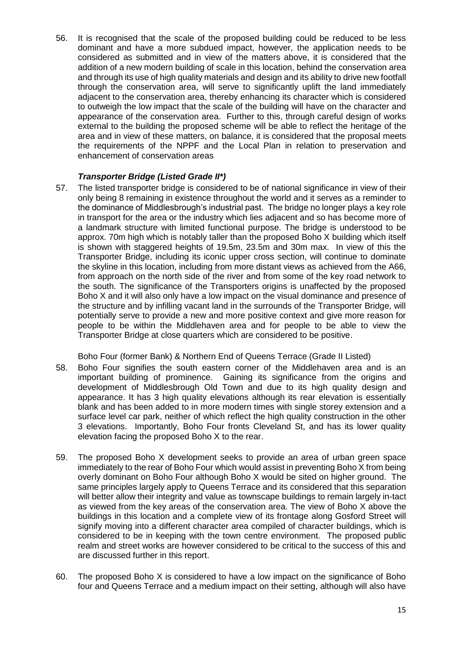56. It is recognised that the scale of the proposed building could be reduced to be less dominant and have a more subdued impact, however, the application needs to be considered as submitted and in view of the matters above, it is considered that the addition of a new modern building of scale in this location, behind the conservation area and through its use of high quality materials and design and its ability to drive new footfall through the conservation area, will serve to significantly uplift the land immediately adjacent to the conservation area, thereby enhancing its character which is considered to outweigh the low impact that the scale of the building will have on the character and appearance of the conservation area. Further to this, through careful design of works external to the building the proposed scheme will be able to reflect the heritage of the area and in view of these matters, on balance, it is considered that the proposal meets the requirements of the NPPF and the Local Plan in relation to preservation and enhancement of conservation areas

# *Transporter Bridge (Listed Grade II\*)*

57. The listed transporter bridge is considered to be of national significance in view of their only being 8 remaining in existence throughout the world and it serves as a reminder to the dominance of Middlesbrough's industrial past. The bridge no longer plays a key role in transport for the area or the industry which lies adjacent and so has become more of a landmark structure with limited functional purpose. The bridge is understood to be approx. 70m high which is notably taller than the proposed Boho X building which itself is shown with staggered heights of 19.5m, 23.5m and 30m max. In view of this the Transporter Bridge, including its iconic upper cross section, will continue to dominate the skyline in this location, including from more distant views as achieved from the A66, from approach on the north side of the river and from some of the key road network to the south. The significance of the Transporters origins is unaffected by the proposed Boho X and it will also only have a low impact on the visual dominance and presence of the structure and by infilling vacant land in the surrounds of the Transporter Bridge, will potentially serve to provide a new and more positive context and give more reason for people to be within the Middlehaven area and for people to be able to view the Transporter Bridge at close quarters which are considered to be positive.

Boho Four (former Bank) & Northern End of Queens Terrace (Grade II Listed)

- 58. Boho Four signifies the south eastern corner of the Middlehaven area and is an important building of prominence. Gaining its significance from the origins and development of Middlesbrough Old Town and due to its high quality design and appearance. It has 3 high quality elevations although its rear elevation is essentially blank and has been added to in more modern times with single storey extension and a surface level car park, neither of which reflect the high quality construction in the other 3 elevations. Importantly, Boho Four fronts Cleveland St, and has its lower quality elevation facing the proposed Boho X to the rear.
- 59. The proposed Boho X development seeks to provide an area of urban green space immediately to the rear of Boho Four which would assist in preventing Boho X from being overly dominant on Boho Four although Boho X would be sited on higher ground. The same principles largely apply to Queens Terrace and its considered that this separation will better allow their integrity and value as townscape buildings to remain largely in-tact as viewed from the key areas of the conservation area. The view of Boho X above the buildings in this location and a complete view of its frontage along Gosford Street will signify moving into a different character area compiled of character buildings, which is considered to be in keeping with the town centre environment. The proposed public realm and street works are however considered to be critical to the success of this and are discussed further in this report.
- 60. The proposed Boho X is considered to have a low impact on the significance of Boho four and Queens Terrace and a medium impact on their setting, although will also have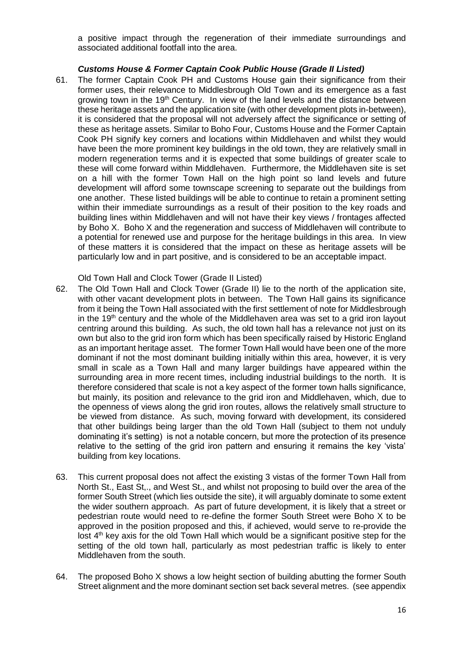a positive impact through the regeneration of their immediate surroundings and associated additional footfall into the area.

## *Customs House & Former Captain Cook Public House (Grade II Listed)*

61. The former Captain Cook PH and Customs House gain their significance from their former uses, their relevance to Middlesbrough Old Town and its emergence as a fast growing town in the 19th Century. In view of the land levels and the distance between these heritage assets and the application site (with other development plots in-between), it is considered that the proposal will not adversely affect the significance or setting of these as heritage assets. Similar to Boho Four, Customs House and the Former Captain Cook PH signify key corners and locations within Middlehaven and whilst they would have been the more prominent key buildings in the old town, they are relatively small in modern regeneration terms and it is expected that some buildings of greater scale to these will come forward within Middlehaven. Furthermore, the Middlehaven site is set on a hill with the former Town Hall on the high point so land levels and future development will afford some townscape screening to separate out the buildings from one another. These listed buildings will be able to continue to retain a prominent setting within their immediate surroundings as a result of their position to the key roads and building lines within Middlehaven and will not have their key views / frontages affected by Boho X. Boho X and the regeneration and success of Middlehaven will contribute to a potential for renewed use and purpose for the heritage buildings in this area. In view of these matters it is considered that the impact on these as heritage assets will be particularly low and in part positive, and is considered to be an acceptable impact.

Old Town Hall and Clock Tower (Grade II Listed)

- 62. The Old Town Hall and Clock Tower (Grade II) lie to the north of the application site, with other vacant development plots in between. The Town Hall gains its significance from it being the Town Hall associated with the first settlement of note for Middlesbrough in the 19<sup>th</sup> century and the whole of the Middlehaven area was set to a grid iron layout centring around this building. As such, the old town hall has a relevance not just on its own but also to the grid iron form which has been specifically raised by Historic England as an important heritage asset. The former Town Hall would have been one of the more dominant if not the most dominant building initially within this area, however, it is very small in scale as a Town Hall and many larger buildings have appeared within the surrounding area in more recent times, including industrial buildings to the north. It is therefore considered that scale is not a key aspect of the former town halls significance, but mainly, its position and relevance to the grid iron and Middlehaven, which, due to the openness of views along the grid iron routes, allows the relatively small structure to be viewed from distance. As such, moving forward with development, its considered that other buildings being larger than the old Town Hall (subject to them not unduly dominating it's setting) is not a notable concern, but more the protection of its presence relative to the setting of the grid iron pattern and ensuring it remains the key 'vista' building from key locations.
- 63. This current proposal does not affect the existing 3 vistas of the former Town Hall from North St., East St,., and West St., and whilst not proposing to build over the area of the former South Street (which lies outside the site), it will arguably dominate to some extent the wider southern approach. As part of future development, it is likely that a street or pedestrian route would need to re-define the former South Street were Boho X to be approved in the position proposed and this, if achieved, would serve to re-provide the lost  $4<sup>th</sup>$  key axis for the old Town Hall which would be a significant positive step for the setting of the old town hall, particularly as most pedestrian traffic is likely to enter Middlehaven from the south.
- 64. The proposed Boho X shows a low height section of building abutting the former South Street alignment and the more dominant section set back several metres. (see appendix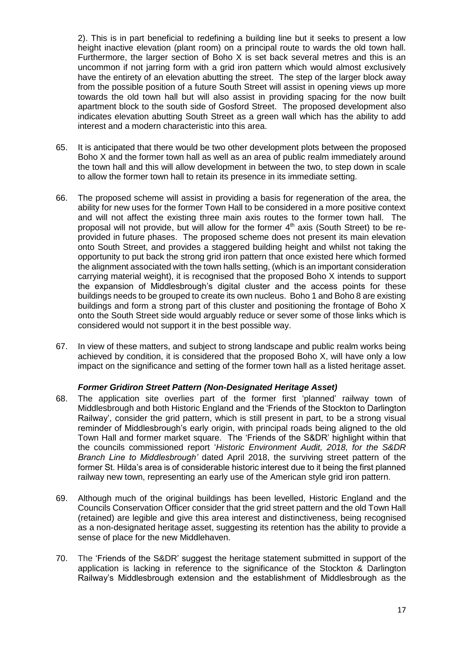2). This is in part beneficial to redefining a building line but it seeks to present a low height inactive elevation (plant room) on a principal route to wards the old town hall. Furthermore, the larger section of Boho X is set back several metres and this is an uncommon if not jarring form with a grid iron pattern which would almost exclusively have the entirety of an elevation abutting the street. The step of the larger block away from the possible position of a future South Street will assist in opening views up more towards the old town hall but will also assist in providing spacing for the now built apartment block to the south side of Gosford Street. The proposed development also indicates elevation abutting South Street as a green wall which has the ability to add interest and a modern characteristic into this area.

- 65. It is anticipated that there would be two other development plots between the proposed Boho X and the former town hall as well as an area of public realm immediately around the town hall and this will allow development in between the two, to step down in scale to allow the former town hall to retain its presence in its immediate setting.
- 66. The proposed scheme will assist in providing a basis for regeneration of the area, the ability for new uses for the former Town Hall to be considered in a more positive context and will not affect the existing three main axis routes to the former town hall. The proposal will not provide, but will allow for the former  $4<sup>th</sup>$  axis (South Street) to be reprovided in future phases. The proposed scheme does not present its main elevation onto South Street, and provides a staggered building height and whilst not taking the opportunity to put back the strong grid iron pattern that once existed here which formed the alignment associated with the town halls setting, (which is an important consideration carrying material weight), it is recognised that the proposed Boho X intends to support the expansion of Middlesbrough's digital cluster and the access points for these buildings needs to be grouped to create its own nucleus. Boho 1 and Boho 8 are existing buildings and form a strong part of this cluster and positioning the frontage of Boho X onto the South Street side would arguably reduce or sever some of those links which is considered would not support it in the best possible way.
- 67. In view of these matters, and subject to strong landscape and public realm works being achieved by condition, it is considered that the proposed Boho X, will have only a low impact on the significance and setting of the former town hall as a listed heritage asset.

## *Former Gridiron Street Pattern (Non-Designated Heritage Asset)*

- 68. The application site overlies part of the former first 'planned' railway town of Middlesbrough and both Historic England and the 'Friends of the Stockton to Darlington Railway', consider the grid pattern, which is still present in part, to be a strong visual reminder of Middlesbrough's early origin, with principal roads being aligned to the old Town Hall and former market square. The 'Friends of the S&DR' highlight within that the councils commissioned report '*Historic Environment Audit, 2018, for the S&DR Branch Line to Middlesbrough'* dated April 2018, the surviving street pattern of the former St. Hilda's area is of considerable historic interest due to it being the first planned railway new town, representing an early use of the American style grid iron pattern.
- 69. Although much of the original buildings has been levelled, Historic England and the Councils Conservation Officer consider that the grid street pattern and the old Town Hall (retained) are legible and give this area interest and distinctiveness, being recognised as a non-designated heritage asset, suggesting its retention has the ability to provide a sense of place for the new Middlehaven.
- 70. The 'Friends of the S&DR' suggest the heritage statement submitted in support of the application is lacking in reference to the significance of the Stockton & Darlington Railway's Middlesbrough extension and the establishment of Middlesbrough as the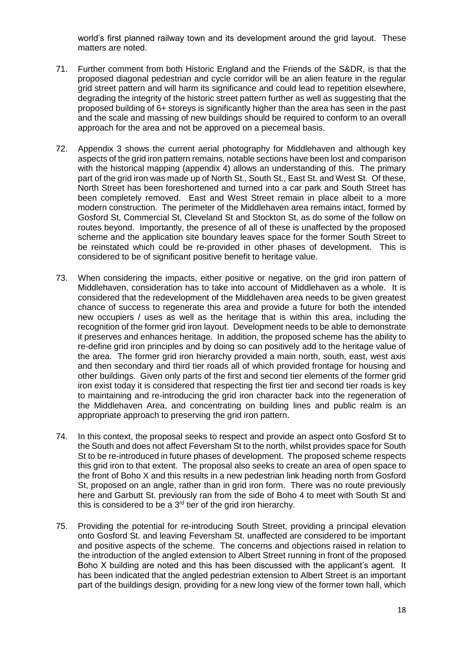world's first planned railway town and its development around the grid layout. These matters are noted.

- 71. Further comment from both Historic England and the Friends of the S&DR, is that the proposed diagonal pedestrian and cycle corridor will be an alien feature in the regular grid street pattern and will harm its significance and could lead to repetition elsewhere, degrading the integrity of the historic street pattern further as well as suggesting that the proposed building of 6+ storeys is significantly higher than the area has seen in the past and the scale and massing of new buildings should be required to conform to an overall approach for the area and not be approved on a piecemeal basis.
- 72. Appendix 3 shows the current aerial photography for Middlehaven and although key aspects of the grid iron pattern remains, notable sections have been lost and comparison with the historical mapping (appendix 4) allows an understanding of this. The primary part of the grid iron was made up of North St., South St., East St. and West St. Of these, North Street has been foreshortened and turned into a car park and South Street has been completely removed. East and West Street remain in place albeit to a more modern construction. The perimeter of the Middlehaven area remains intact, formed by Gosford St, Commercial St, Cleveland St and Stockton St, as do some of the follow on routes beyond. Importantly, the presence of all of these is unaffected by the proposed scheme and the application site boundary leaves space for the former South Street to be reinstated which could be re-provided in other phases of development. This is considered to be of significant positive benefit to heritage value.
- 73. When considering the impacts, either positive or negative, on the grid iron pattern of Middlehaven, consideration has to take into account of Middlehaven as a whole. It is considered that the redevelopment of the Middlehaven area needs to be given greatest chance of success to regenerate this area and provide a future for both the intended new occupiers / uses as well as the heritage that is within this area, including the recognition of the former grid iron layout. Development needs to be able to demonstrate it preserves and enhances heritage. In addition, the proposed scheme has the ability to re-define grid iron principles and by doing so can positively add to the heritage value of the area. The former grid iron hierarchy provided a main north, south, east, west axis and then secondary and third tier roads all of which provided frontage for housing and other buildings. Given only parts of the first and second tier elements of the former grid iron exist today it is considered that respecting the first tier and second tier roads is key to maintaining and re-introducing the grid iron character back into the regeneration of the Middlehaven Area, and concentrating on building lines and public realm is an appropriate approach to preserving the grid iron pattern.
- 74. In this context, the proposal seeks to respect and provide an aspect onto Gosford St to the South and does not affect Feversham St to the north, whilst provides space for South St to be re-introduced in future phases of development. The proposed scheme respects this grid iron to that extent. The proposal also seeks to create an area of open space to the front of Boho X and this results in a new pedestrian link heading north from Gosford St, proposed on an angle, rather than in grid iron form. There was no route previously here and Garbutt St. previously ran from the side of Boho 4 to meet with South St and this is considered to be a 3<sup>rd</sup> tier of the grid iron hierarchy.
- 75. Providing the potential for re-introducing South Street, providing a principal elevation onto Gosford St. and leaving Feversham St. unaffected are considered to be important and positive aspects of the scheme. The concerns and objections raised in relation to the introduction of the angled extension to Albert Street running in front of the proposed Boho X building are noted and this has been discussed with the applicant's agent. It has been indicated that the angled pedestrian extension to Albert Street is an important part of the buildings design, providing for a new long view of the former town hall, which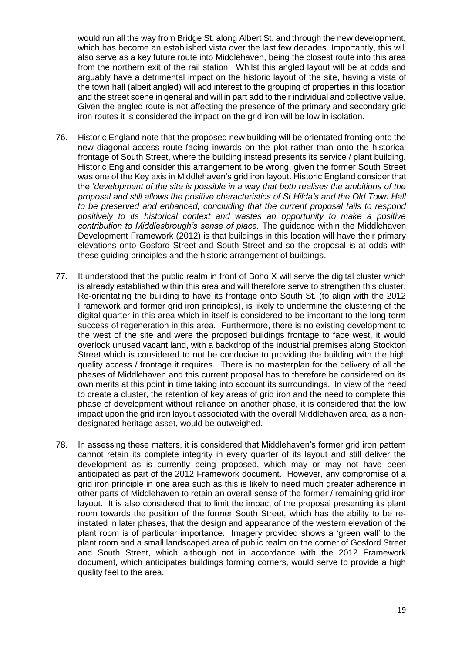would run all the way from Bridge St. along Albert St. and through the new development, which has become an established vista over the last few decades. Importantly, this will also serve as a key future route into Middlehaven, being the closest route into this area from the northern exit of the rail station. Whilst this angled layout will be at odds and arguably have a detrimental impact on the historic layout of the site, having a vista of the town hall (albeit angled) will add interest to the grouping of properties in this location and the street scene in general and will in part add to their individual and collective value. Given the angled route is not affecting the presence of the primary and secondary grid iron routes it is considered the impact on the grid iron will be low in isolation.

- 76. Historic England note that the proposed new building will be orientated fronting onto the new diagonal access route facing inwards on the plot rather than onto the historical frontage of South Street, where the building instead presents its service / plant building. Historic England consider this arrangement to be wrong, given the former South Street was one of the Key axis in Middlehaven's grid iron layout. Historic England consider that the '*development of the site is possible in a way that both realises the ambitions of the proposal and still allows the positive characteristics of St Hilda's and the Old Town Hall to be preserved and enhanced, concluding that the current proposal fails to respond positively to its historical context and wastes an opportunity to make a positive contribution to Middlesbrough's sense of place.* The guidance within the Middlehaven Development Framework (2012) is that buildings in this location will have their primary elevations onto Gosford Street and South Street and so the proposal is at odds with these guiding principles and the historic arrangement of buildings.
- 77. It understood that the public realm in front of Boho X will serve the digital cluster which is already established within this area and will therefore serve to strengthen this cluster. Re-orientating the building to have its frontage onto South St. (to align with the 2012 Framework and former grid iron principles), is likely to undermine the clustering of the digital quarter in this area which in itself is considered to be important to the long term success of regeneration in this area. Furthermore, there is no existing development to the west of the site and were the proposed buildings frontage to face west, it would overlook unused vacant land, with a backdrop of the industrial premises along Stockton Street which is considered to not be conducive to providing the building with the high quality access / frontage it requires. There is no masterplan for the delivery of all the phases of Middlehaven and this current proposal has to therefore be considered on its own merits at this point in time taking into account its surroundings. In view of the need to create a cluster, the retention of key areas of grid iron and the need to complete this phase of development without reliance on another phase, it is considered that the low impact upon the grid iron layout associated with the overall Middlehaven area, as a nondesignated heritage asset, would be outweighed.
- 78. In assessing these matters, it is considered that Middlehaven's former grid iron pattern cannot retain its complete integrity in every quarter of its layout and still deliver the development as is currently being proposed, which may or may not have been anticipated as part of the 2012 Framework document. However, any compromise of a grid iron principle in one area such as this is likely to need much greater adherence in other parts of Middlehaven to retain an overall sense of the former / remaining grid iron layout. It is also considered that to limit the impact of the proposal presenting its plant room towards the position of the former South Street, which has the ability to be reinstated in later phases, that the design and appearance of the western elevation of the plant room is of particular importance. Imagery provided shows a 'green wall' to the plant room and a small landscaped area of public realm on the corner of Gosford Street and South Street, which although not in accordance with the 2012 Framework document, which anticipates buildings forming corners, would serve to provide a high quality feel to the area.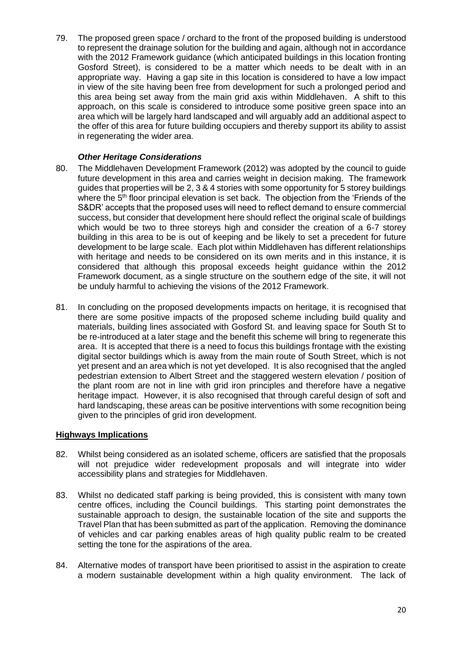79. The proposed green space / orchard to the front of the proposed building is understood to represent the drainage solution for the building and again, although not in accordance with the 2012 Framework guidance (which anticipated buildings in this location fronting Gosford Street), is considered to be a matter which needs to be dealt with in an appropriate way. Having a gap site in this location is considered to have a low impact in view of the site having been free from development for such a prolonged period and this area being set away from the main grid axis within Middlehaven. A shift to this approach, on this scale is considered to introduce some positive green space into an area which will be largely hard landscaped and will arguably add an additional aspect to the offer of this area for future building occupiers and thereby support its ability to assist in regenerating the wider area.

## *Other Heritage Considerations*

- 80. The Middlehaven Development Framework (2012) was adopted by the council to guide future development in this area and carries weight in decision making. The framework guides that properties will be 2, 3 & 4 stories with some opportunity for 5 storey buildings where the  $5<sup>th</sup>$  floor principal elevation is set back. The objection from the 'Friends of the S&DR' accepts that the proposed uses will need to reflect demand to ensure commercial success, but consider that development here should reflect the original scale of buildings which would be two to three storeys high and consider the creation of a 6-7 storey building in this area to be is out of keeping and be likely to set a precedent for future development to be large scale. Each plot within Middlehaven has different relationships with heritage and needs to be considered on its own merits and in this instance, it is considered that although this proposal exceeds height guidance within the 2012 Framework document, as a single structure on the southern edge of the site, it will not be unduly harmful to achieving the visions of the 2012 Framework.
- 81. In concluding on the proposed developments impacts on heritage, it is recognised that there are some positive impacts of the proposed scheme including build quality and materials, building lines associated with Gosford St. and leaving space for South St to be re-introduced at a later stage and the benefit this scheme will bring to regenerate this area. It is accepted that there is a need to focus this buildings frontage with the existing digital sector buildings which is away from the main route of South Street, which is not yet present and an area which is not yet developed. It is also recognised that the angled pedestrian extension to Albert Street and the staggered western elevation / position of the plant room are not in line with grid iron principles and therefore have a negative heritage impact. However, it is also recognised that through careful design of soft and hard landscaping, these areas can be positive interventions with some recognition being given to the principles of grid iron development.

# **Highways Implications**

- 82. Whilst being considered as an isolated scheme, officers are satisfied that the proposals will not prejudice wider redevelopment proposals and will integrate into wider accessibility plans and strategies for Middlehaven.
- 83. Whilst no dedicated staff parking is being provided, this is consistent with many town centre offices, including the Council buildings. This starting point demonstrates the sustainable approach to design, the sustainable location of the site and supports the Travel Plan that has been submitted as part of the application. Removing the dominance of vehicles and car parking enables areas of high quality public realm to be created setting the tone for the aspirations of the area.
- 84. Alternative modes of transport have been prioritised to assist in the aspiration to create a modern sustainable development within a high quality environment. The lack of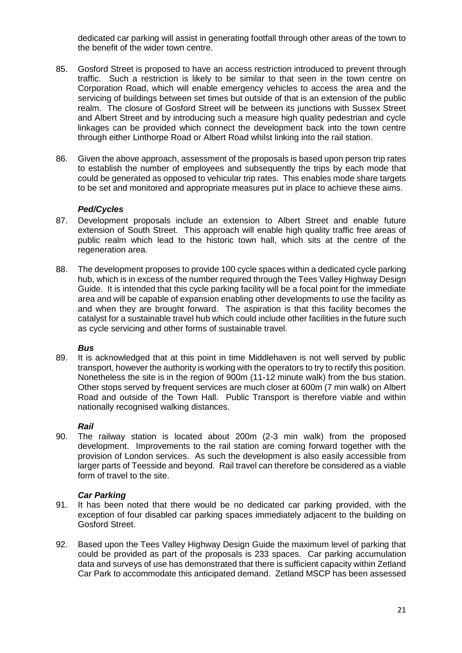dedicated car parking will assist in generating footfall through other areas of the town to the benefit of the wider town centre.

- 85. Gosford Street is proposed to have an access restriction introduced to prevent through traffic. Such a restriction is likely to be similar to that seen in the town centre on Corporation Road, which will enable emergency vehicles to access the area and the servicing of buildings between set times but outside of that is an extension of the public realm. The closure of Gosford Street will be between its junctions with Sussex Street and Albert Street and by introducing such a measure high quality pedestrian and cycle linkages can be provided which connect the development back into the town centre through either Linthorpe Road or Albert Road whilst linking into the rail station.
- 86. Given the above approach, assessment of the proposals is based upon person trip rates to establish the number of employees and subsequently the trips by each mode that could be generated as opposed to vehicular trip rates. This enables mode share targets to be set and monitored and appropriate measures put in place to achieve these aims.

## *Ped/Cycles*

- 87. Development proposals include an extension to Albert Street and enable future extension of South Street. This approach will enable high quality traffic free areas of public realm which lead to the historic town hall, which sits at the centre of the regeneration area.
- 88. The development proposes to provide 100 cycle spaces within a dedicated cycle parking hub, which is in excess of the number required through the Tees Valley Highway Design Guide. It is intended that this cycle parking facility will be a focal point for the immediate area and will be capable of expansion enabling other developments to use the facility as and when they are brought forward. The aspiration is that this facility becomes the catalyst for a sustainable travel hub which could include other facilities in the future such as cycle servicing and other forms of sustainable travel.

## *Bus*

89. It is acknowledged that at this point in time Middlehaven is not well served by public transport, however the authority is working with the operators to try to rectify this position. Nonetheless the site is in the region of 900m (11-12 minute walk) from the bus station. Other stops served by frequent services are much closer at 600m (7 min walk) on Albert Road and outside of the Town Hall. Public Transport is therefore viable and within nationally recognised walking distances.

## *Rail*

90. The railway station is located about 200m (2-3 min walk) from the proposed development. Improvements to the rail station are coming forward together with the provision of London services. As such the development is also easily accessible from larger parts of Teesside and beyond. Rail travel can therefore be considered as a viable form of travel to the site.

## *Car Parking*

- 91. It has been noted that there would be no dedicated car parking provided, with the exception of four disabled car parking spaces immediately adjacent to the building on Gosford Street.
- 92. Based upon the Tees Valley Highway Design Guide the maximum level of parking that could be provided as part of the proposals is 233 spaces. Car parking accumulation data and surveys of use has demonstrated that there is sufficient capacity within Zetland Car Park to accommodate this anticipated demand. Zetland MSCP has been assessed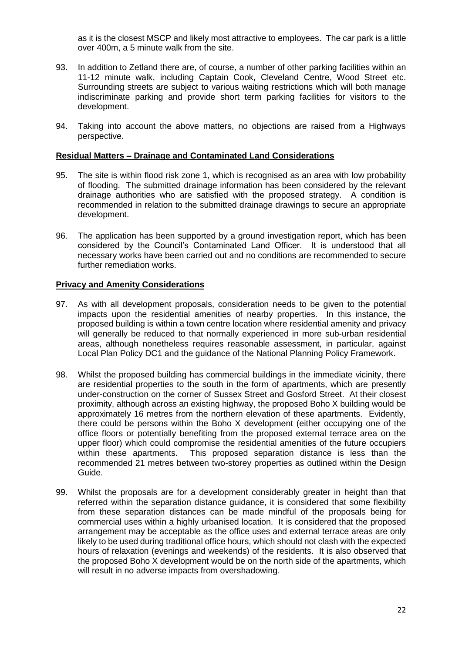as it is the closest MSCP and likely most attractive to employees. The car park is a little over 400m, a 5 minute walk from the site.

- 93. In addition to Zetland there are, of course, a number of other parking facilities within an 11-12 minute walk, including Captain Cook, Cleveland Centre, Wood Street etc. Surrounding streets are subject to various waiting restrictions which will both manage indiscriminate parking and provide short term parking facilities for visitors to the development.
- 94. Taking into account the above matters, no objections are raised from a Highways perspective.

## **Residual Matters – Drainage and Contaminated Land Considerations**

- 95. The site is within flood risk zone 1, which is recognised as an area with low probability of flooding. The submitted drainage information has been considered by the relevant drainage authorities who are satisfied with the proposed strategy. A condition is recommended in relation to the submitted drainage drawings to secure an appropriate development.
- 96. The application has been supported by a ground investigation report, which has been considered by the Council's Contaminated Land Officer. It is understood that all necessary works have been carried out and no conditions are recommended to secure further remediation works.

# **Privacy and Amenity Considerations**

- 97. As with all development proposals, consideration needs to be given to the potential impacts upon the residential amenities of nearby properties. In this instance, the proposed building is within a town centre location where residential amenity and privacy will generally be reduced to that normally experienced in more sub-urban residential areas, although nonetheless requires reasonable assessment, in particular, against Local Plan Policy DC1 and the guidance of the National Planning Policy Framework.
- 98. Whilst the proposed building has commercial buildings in the immediate vicinity, there are residential properties to the south in the form of apartments, which are presently under-construction on the corner of Sussex Street and Gosford Street. At their closest proximity, although across an existing highway, the proposed Boho X building would be approximately 16 metres from the northern elevation of these apartments. Evidently, there could be persons within the Boho X development (either occupying one of the office floors or potentially benefiting from the proposed external terrace area on the upper floor) which could compromise the residential amenities of the future occupiers within these apartments. This proposed separation distance is less than the recommended 21 metres between two-storey properties as outlined within the Design Guide.
- 99. Whilst the proposals are for a development considerably greater in height than that referred within the separation distance guidance, it is considered that some flexibility from these separation distances can be made mindful of the proposals being for commercial uses within a highly urbanised location. It is considered that the proposed arrangement may be acceptable as the office uses and external terrace areas are only likely to be used during traditional office hours, which should not clash with the expected hours of relaxation (evenings and weekends) of the residents. It is also observed that the proposed Boho X development would be on the north side of the apartments, which will result in no adverse impacts from overshadowing.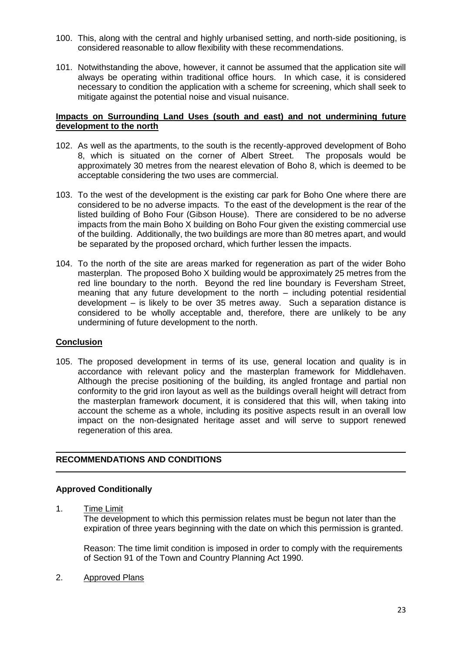- 100. This, along with the central and highly urbanised setting, and north-side positioning, is considered reasonable to allow flexibility with these recommendations.
- 101. Notwithstanding the above, however, it cannot be assumed that the application site will always be operating within traditional office hours. In which case, it is considered necessary to condition the application with a scheme for screening, which shall seek to mitigate against the potential noise and visual nuisance.

## **Impacts on Surrounding Land Uses (south and east) and not undermining future development to the north**

- 102. As well as the apartments, to the south is the recently-approved development of Boho 8, which is situated on the corner of Albert Street. The proposals would be approximately 30 metres from the nearest elevation of Boho 8, which is deemed to be acceptable considering the two uses are commercial.
- 103. To the west of the development is the existing car park for Boho One where there are considered to be no adverse impacts. To the east of the development is the rear of the listed building of Boho Four (Gibson House). There are considered to be no adverse impacts from the main Boho X building on Boho Four given the existing commercial use of the building. Additionally, the two buildings are more than 80 metres apart, and would be separated by the proposed orchard, which further lessen the impacts.
- 104. To the north of the site are areas marked for regeneration as part of the wider Boho masterplan. The proposed Boho X building would be approximately 25 metres from the red line boundary to the north. Beyond the red line boundary is Feversham Street, meaning that any future development to the north – including potential residential development – is likely to be over 35 metres away. Such a separation distance is considered to be wholly acceptable and, therefore, there are unlikely to be any undermining of future development to the north.

## **Conclusion**

105. The proposed development in terms of its use, general location and quality is in accordance with relevant policy and the masterplan framework for Middlehaven. Although the precise positioning of the building, its angled frontage and partial non conformity to the grid iron layout as well as the buildings overall height will detract from the masterplan framework document, it is considered that this will, when taking into account the scheme as a whole, including its positive aspects result in an overall low impact on the non-designated heritage asset and will serve to support renewed regeneration of this area.

# **RECOMMENDATIONS AND CONDITIONS**

## **Approved Conditionally**

1. Time Limit

The development to which this permission relates must be begun not later than the expiration of three years beginning with the date on which this permission is granted.

Reason: The time limit condition is imposed in order to comply with the requirements of Section 91 of the Town and Country Planning Act 1990.

2. Approved Plans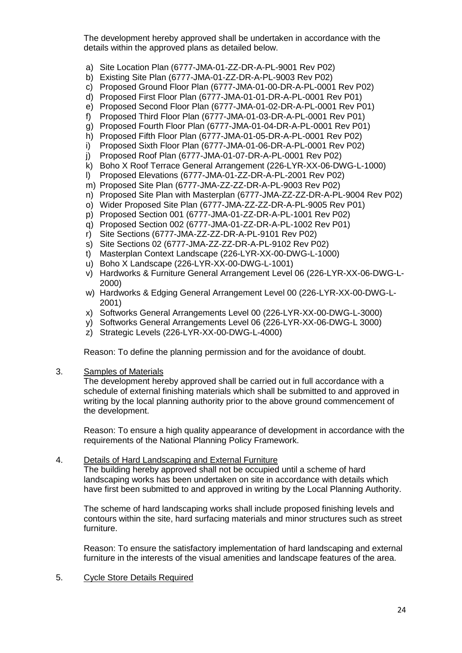The development hereby approved shall be undertaken in accordance with the details within the approved plans as detailed below.

- a) Site Location Plan (6777-JMA-01-ZZ-DR-A-PL-9001 Rev P02)
- b) Existing Site Plan (6777-JMA-01-ZZ-DR-A-PL-9003 Rev P02)
- c) Proposed Ground Floor Plan (6777-JMA-01-00-DR-A-PL-0001 Rev P02)
- d) Proposed First Floor Plan (6777-JMA-01-01-DR-A-PL-0001 Rev P01)
- e) Proposed Second Floor Plan (6777-JMA-01-02-DR-A-PL-0001 Rev P01)
- f) Proposed Third Floor Plan (6777-JMA-01-03-DR-A-PL-0001 Rev P01)
- g) Proposed Fourth Floor Plan (6777-JMA-01-04-DR-A-PL-0001 Rev P01)
- h) Proposed Fifth Floor Plan (6777-JMA-01-05-DR-A-PL-0001 Rev P02)
- i) Proposed Sixth Floor Plan (6777-JMA-01-06-DR-A-PL-0001 Rev P02)
- j) Proposed Roof Plan (6777-JMA-01-07-DR-A-PL-0001 Rev P02)
- k) Boho X Roof Terrace General Arrangement (226-LYR-XX-06-DWG-L-1000)
- l) Proposed Elevations (6777-JMA-01-ZZ-DR-A-PL-2001 Rev P02)
- m) Proposed Site Plan (6777-JMA-ZZ-ZZ-DR-A-PL-9003 Rev P02)
- n) Proposed Site Plan with Masterplan (6777-JMA-ZZ-ZZ-DR-A-PL-9004 Rev P02)
- o) Wider Proposed Site Plan (6777-JMA-ZZ-ZZ-DR-A-PL-9005 Rev P01)
- p) Proposed Section 001 (6777-JMA-01-ZZ-DR-A-PL-1001 Rev P02)
- q) Proposed Section 002 (6777-JMA-01-ZZ-DR-A-PL-1002 Rev P01)
- r) Site Sections (6777-JMA-ZZ-ZZ-DR-A-PL-9101 Rev P02)
- s) Site Sections 02 (6777-JMA-ZZ-ZZ-DR-A-PL-9102 Rev P02)
- t) Masterplan Context Landscape (226-LYR-XX-00-DWG-L-1000)
- u) Boho X Landscape (226-LYR-XX-00-DWG-L-1001)
- v) Hardworks & Furniture General Arrangement Level 06 (226-LYR-XX-06-DWG-L-2000)
- w) Hardworks & Edging General Arrangement Level 00 (226-LYR-XX-00-DWG-L-2001)
- x) Softworks General Arrangements Level 00 (226-LYR-XX-00-DWG-L-3000)
- y) Softworks General Arrangements Level 06 (226-LYR-XX-06-DWG-L 3000)
- z) Strategic Levels (226-LYR-XX-00-DWG-L-4000)

Reason: To define the planning permission and for the avoidance of doubt.

#### 3. Samples of Materials

The development hereby approved shall be carried out in full accordance with a schedule of external finishing materials which shall be submitted to and approved in writing by the local planning authority prior to the above ground commencement of the development.

Reason: To ensure a high quality appearance of development in accordance with the requirements of the National Planning Policy Framework.

#### 4. Details of Hard Landscaping and External Furniture

The building hereby approved shall not be occupied until a scheme of hard landscaping works has been undertaken on site in accordance with details which have first been submitted to and approved in writing by the Local Planning Authority.

The scheme of hard landscaping works shall include proposed finishing levels and contours within the site, hard surfacing materials and minor structures such as street furniture.

Reason: To ensure the satisfactory implementation of hard landscaping and external furniture in the interests of the visual amenities and landscape features of the area.

## 5. Cycle Store Details Required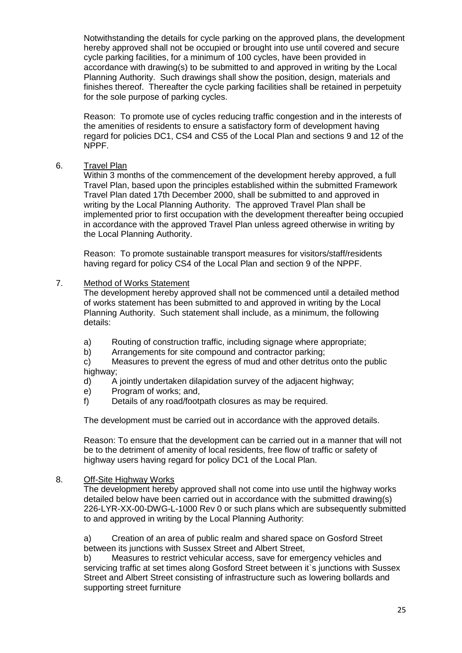Notwithstanding the details for cycle parking on the approved plans, the development hereby approved shall not be occupied or brought into use until covered and secure cycle parking facilities, for a minimum of 100 cycles, have been provided in accordance with drawing(s) to be submitted to and approved in writing by the Local Planning Authority. Such drawings shall show the position, design, materials and finishes thereof. Thereafter the cycle parking facilities shall be retained in perpetuity for the sole purpose of parking cycles.

Reason: To promote use of cycles reducing traffic congestion and in the interests of the amenities of residents to ensure a satisfactory form of development having regard for policies DC1, CS4 and CS5 of the Local Plan and sections 9 and 12 of the NPPF.

## 6. Travel Plan

Within 3 months of the commencement of the development hereby approved, a full Travel Plan, based upon the principles established within the submitted Framework Travel Plan dated 17th December 2000, shall be submitted to and approved in writing by the Local Planning Authority. The approved Travel Plan shall be implemented prior to first occupation with the development thereafter being occupied in accordance with the approved Travel Plan unless agreed otherwise in writing by the Local Planning Authority.

Reason: To promote sustainable transport measures for visitors/staff/residents having regard for policy CS4 of the Local Plan and section 9 of the NPPF.

## 7. Method of Works Statement

The development hereby approved shall not be commenced until a detailed method of works statement has been submitted to and approved in writing by the Local Planning Authority. Such statement shall include, as a minimum, the following details:

- a) Routing of construction traffic, including signage where appropriate;<br>b) Arrangements for site compound and contractor parking:
- Arrangements for site compound and contractor parking;

c) Measures to prevent the egress of mud and other detritus onto the public highway;

- d) A jointly undertaken dilapidation survey of the adjacent highway;
- e) Program of works; and,
- f) Details of any road/footpath closures as may be required.

The development must be carried out in accordance with the approved details.

Reason: To ensure that the development can be carried out in a manner that will not be to the detriment of amenity of local residents, free flow of traffic or safety of highway users having regard for policy DC1 of the Local Plan.

#### 8. Off-Site Highway Works

The development hereby approved shall not come into use until the highway works detailed below have been carried out in accordance with the submitted drawing(s) 226-LYR-XX-00-DWG-L-1000 Rev 0 or such plans which are subsequently submitted to and approved in writing by the Local Planning Authority:

a) Creation of an area of public realm and shared space on Gosford Street between its junctions with Sussex Street and Albert Street,

b) Measures to restrict vehicular access, save for emergency vehicles and servicing traffic at set times along Gosford Street between it's junctions with Sussex Street and Albert Street consisting of infrastructure such as lowering bollards and supporting street furniture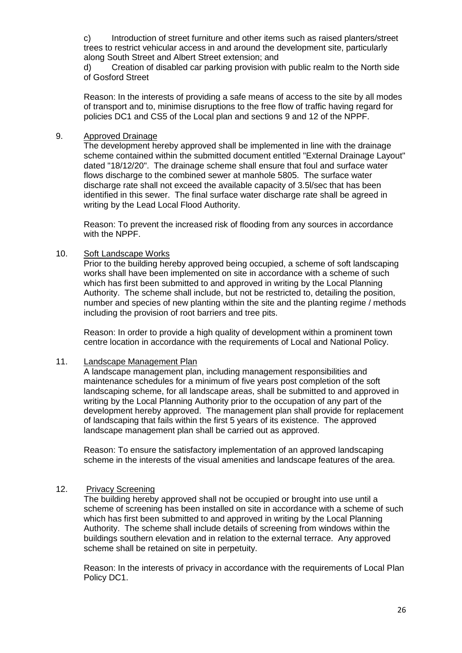c) Introduction of street furniture and other items such as raised planters/street trees to restrict vehicular access in and around the development site, particularly along South Street and Albert Street extension; and

d) Creation of disabled car parking provision with public realm to the North side of Gosford Street

Reason: In the interests of providing a safe means of access to the site by all modes of transport and to, minimise disruptions to the free flow of traffic having regard for policies DC1 and CS5 of the Local plan and sections 9 and 12 of the NPPF.

## 9. Approved Drainage

The development hereby approved shall be implemented in line with the drainage scheme contained within the submitted document entitled "External Drainage Layout" dated "18/12/20". The drainage scheme shall ensure that foul and surface water flows discharge to the combined sewer at manhole 5805. The surface water discharge rate shall not exceed the available capacity of 3.5l/sec that has been identified in this sewer. The final surface water discharge rate shall be agreed in writing by the Lead Local Flood Authority.

Reason: To prevent the increased risk of flooding from any sources in accordance with the NPPF.

#### 10. Soft Landscape Works

Prior to the building hereby approved being occupied, a scheme of soft landscaping works shall have been implemented on site in accordance with a scheme of such which has first been submitted to and approved in writing by the Local Planning Authority. The scheme shall include, but not be restricted to, detailing the position, number and species of new planting within the site and the planting regime / methods including the provision of root barriers and tree pits.

Reason: In order to provide a high quality of development within a prominent town centre location in accordance with the requirements of Local and National Policy.

#### 11. Landscape Management Plan

A landscape management plan, including management responsibilities and maintenance schedules for a minimum of five years post completion of the soft landscaping scheme, for all landscape areas, shall be submitted to and approved in writing by the Local Planning Authority prior to the occupation of any part of the development hereby approved. The management plan shall provide for replacement of landscaping that fails within the first 5 years of its existence. The approved landscape management plan shall be carried out as approved.

Reason: To ensure the satisfactory implementation of an approved landscaping scheme in the interests of the visual amenities and landscape features of the area.

## 12. Privacy Screening

The building hereby approved shall not be occupied or brought into use until a scheme of screening has been installed on site in accordance with a scheme of such which has first been submitted to and approved in writing by the Local Planning Authority. The scheme shall include details of screening from windows within the buildings southern elevation and in relation to the external terrace. Any approved scheme shall be retained on site in perpetuity.

Reason: In the interests of privacy in accordance with the requirements of Local Plan Policy DC1.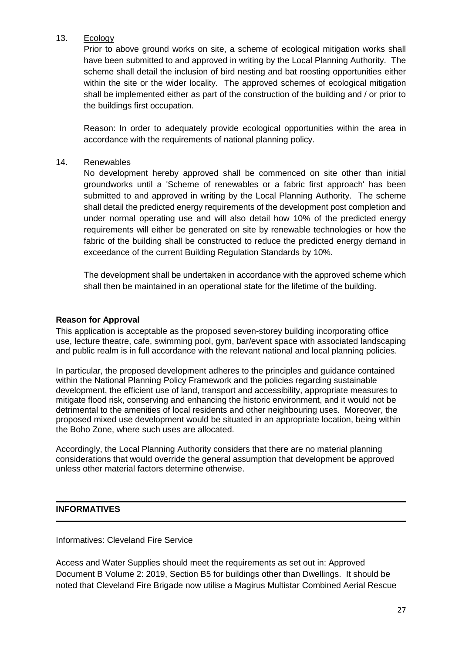# 13. Ecology

Prior to above ground works on site, a scheme of ecological mitigation works shall have been submitted to and approved in writing by the Local Planning Authority. The scheme shall detail the inclusion of bird nesting and bat roosting opportunities either within the site or the wider locality. The approved schemes of ecological mitigation shall be implemented either as part of the construction of the building and / or prior to the buildings first occupation.

Reason: In order to adequately provide ecological opportunities within the area in accordance with the requirements of national planning policy.

## 14. Renewables

No development hereby approved shall be commenced on site other than initial groundworks until a 'Scheme of renewables or a fabric first approach' has been submitted to and approved in writing by the Local Planning Authority. The scheme shall detail the predicted energy requirements of the development post completion and under normal operating use and will also detail how 10% of the predicted energy requirements will either be generated on site by renewable technologies or how the fabric of the building shall be constructed to reduce the predicted energy demand in exceedance of the current Building Regulation Standards by 10%.

The development shall be undertaken in accordance with the approved scheme which shall then be maintained in an operational state for the lifetime of the building.

#### **Reason for Approval**

This application is acceptable as the proposed seven-storey building incorporating office use, lecture theatre, cafe, swimming pool, gym, bar/event space with associated landscaping and public realm is in full accordance with the relevant national and local planning policies.

In particular, the proposed development adheres to the principles and guidance contained within the National Planning Policy Framework and the policies regarding sustainable development, the efficient use of land, transport and accessibility, appropriate measures to mitigate flood risk, conserving and enhancing the historic environment, and it would not be detrimental to the amenities of local residents and other neighbouring uses. Moreover, the proposed mixed use development would be situated in an appropriate location, being within the Boho Zone, where such uses are allocated.

Accordingly, the Local Planning Authority considers that there are no material planning considerations that would override the general assumption that development be approved unless other material factors determine otherwise.

## **INFORMATIVES**

Informatives: Cleveland Fire Service

Access and Water Supplies should meet the requirements as set out in: Approved Document B Volume 2: 2019, Section B5 for buildings other than Dwellings. It should be noted that Cleveland Fire Brigade now utilise a Magirus Multistar Combined Aerial Rescue